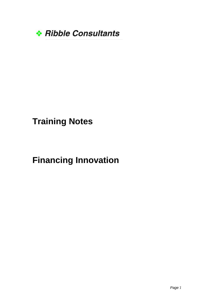

## **Training Notes**

## **Financing Innovation**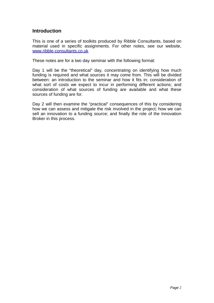## **Introduction**

This is one of a series of toolkits produced by Ribble Consultants, based on material used in specific assignments. For other notes, see our website, [www.ribble-consultants.co.uk](http://www.ribble-consultants.co.uk/)

These notes are for a two day seminar with the following format:

Day 1 will be the "theoretical" day, concentrating on identifying how much funding is required and what sources it may come from. This will be divided between: an introduction to the seminar and how it fits in; consideration of what sort of costs we expect to incur in performing different actions; and consideration of what sources of funding are available and what these sources of funding are for.

Day 2 will then examine the "practical" consequences of this by considering how we can assess and mitigate the risk involved in the project; how we can sell an innovation to a funding source; and finally the role of the Innovation Broker in this process.